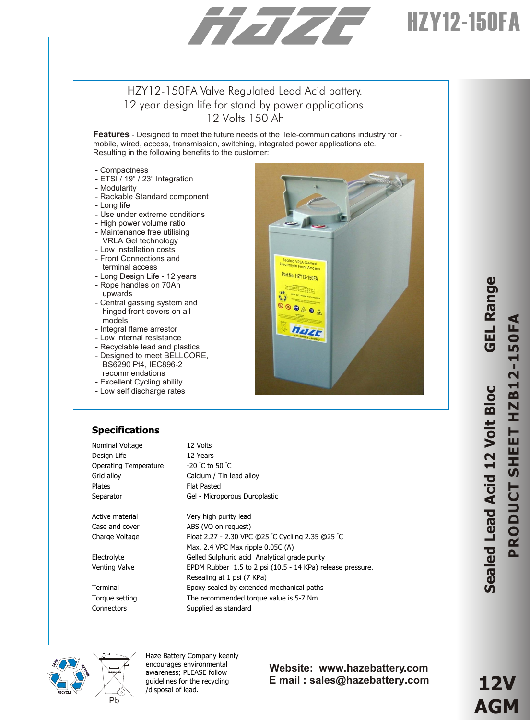# HZY12-150FA

# HZY12-150FA Valve Regulated Lead Acid battery. 12 year design life for stand by power applications. 12 Volts 150 Ah

**Features** - Designed to meet the future needs of the Tele-communications industry for mobile, wired, access, transmission, switching, integrated power applications etc. Resulting in the following benefits to the customer:

- Compactness
- ETSI / 19" / 23" Integration
- Modularity
- Rackable Standard component
- Long life
- Use under extreme conditions
- High power volume ratio
- Maintenance free utilising
- VRLA Gel technology
- Low Installation costs
- Front Connections and terminal access
- Long Design Life 12 years - Rope handles on 70Ah
- upwards - Central gassing system and
- hinged front covers on all models
- Integral flame arrestor
- Low Internal resistance
- Recyclable lead and plastics
- Designed to meet BELLCORE, BS6290 Pt4, IEC896-2 recommendations
- Excellent Cycling ability
- Low self discharge rates

# **Specifications**

| Nominal Voltage              | 12 Volts                                                   |
|------------------------------|------------------------------------------------------------|
| Design Life                  | 12 Years                                                   |
| <b>Operating Temperature</b> | $-20$ °C to 50 °C                                          |
| Grid alloy                   | Calcium / Tin lead alloy                                   |
| <b>Plates</b>                | <b>Flat Pasted</b>                                         |
| Separator                    | Gel - Microporous Duroplastic                              |
|                              |                                                            |
| Active material              | Very high purity lead                                      |
| Case and cover               | ABS (VO on request)                                        |
| Charge Voltage               | Float 2.27 - 2.30 VPC @25 °C Cycliing 2.35 @25 °C          |
|                              | Max. 2.4 VPC Max ripple 0.05C (A)                          |
| Electrolyte                  | Gelled Sulphuric acid Analytical grade purity              |
| Venting Valve                | EPDM Rubber 1.5 to 2 psi (10.5 - 14 KPa) release pressure. |
|                              | Resealing at 1 psi (7 KPa)                                 |
| Terminal                     | Epoxy sealed by extended mechanical paths                  |
| Torque setting               | The recommended torque value is 5-7 Nm                     |
| Connectors                   | Supplied as standard                                       |



Haze Battery Company keenly encourages environmental awareness; PLEASE follow guidelines for the recycling /disposal of lead.

#### **Website: www.hazebattery.com E mail : sales@hazebattery.com**

**Seale dLeadA cid 12V olt Blo cGELRangPRODUCT SHEET HZB12-150FA**

**e**



**12V AGM**